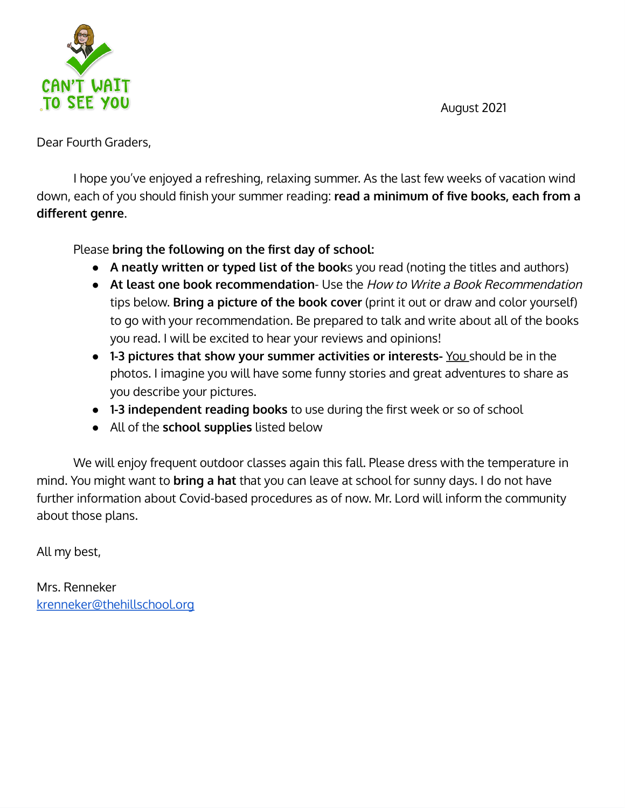August 2021



Dear Fourth Graders,

I hope you've enjoyed a refreshing, relaxing summer. As the last few weeks of vacation wind down, each of you should finish your summer reading: **read a minimum of five books, each from a**<br>down, each of you should finish your summer reading: **read a minimum** of five books, each from a **PLEE YOU**<br>
August 2021<br>
bouth Graders,<br>
I hope you've enjoyed a refreshing, relaxing summer. As the last few weeks of vacation wind<br>
each of you should finish your summer reading: read a minimum of five books, each from a

- **A neatly written or typed list of the book**s you read (noting the titles and authors)
- **At least one book recommendation** Use the How to Write <sup>a</sup> Book Recommendation tips below. **Bring a picture of the book cover** (print it out or draw and color yourself) to go with your recommendation. Be prepared to talk and write about all of the books you read. I will be excited to hear your reviews and opinions! **1.43 1-43 independent reading books** to use during the first weeks of vaccion wind here of the pooks hould finish your summer reading: **read a minimum of five books, each from a**<br> **independent and you should finis**
- **1-3 pictures that show your summer activities or interests-** You should be in the photos. I imagine you will have some funny stories and great adventures to share as you describe your pictures.
- 
- All of the **school supplies** listed below

We will enjoy frequent outdoor classes again this fall. Please dress with the temperature in mind. You might want to **bring a hat** that you can leave at school for sunny days. I do not have further information about Covid-based procedures as of now. Mr. Lord will inform the community about those plans.

All my best,

Mrs. Renneker [krenneker@thehillschool.org](mailto:krenneker@thehillschool.org)